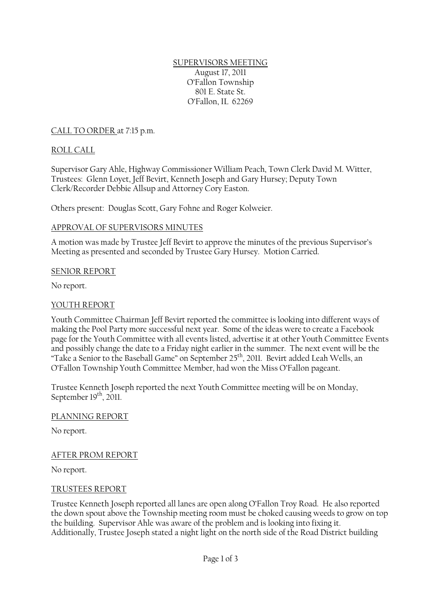SUPERVISORS MEETING August 17, 2011 O'Fallon Township 801 E. State St. O'Fallon, IL 62269

CALL TO ORDER at 7:15 p.m.

## ROLL CALL

Supervisor Gary Ahle, Highway Commissioner William Peach, Town Clerk David M. Witter, Trustees: Glenn Loyet, Jeff Bevirt, Kenneth Joseph and Gary Hursey; Deputy Town Clerk/Recorder Debbie Allsup and Attorney Cory Easton.

Others present: Douglas Scott, Gary Fohne and Roger Kolweier.

### APPROVAL OF SUPERVISORS MINUTES

A motion was made by Trustee Jeff Bevirt to approve the minutes of the previous Supervisor's Meeting as presented and seconded by Trustee Gary Hursey. Motion Carried.

### SENIOR REPORT

No report.

## YOUTH REPORT

Youth Committee Chairman Jeff Bevirt reported the committee is looking into different ways of making the Pool Party more successful next year. Some of the ideas were to create a Facebook page for the Youth Committee with all events listed, advertise it at other Youth Committee Events and possibly change the date to a Friday night earlier in the summer. The next event will be the "Take a Senior to the Baseball Game" on September 25<sup>th</sup>, 2011. Bevirt added Leah Wells, an O'Fallon Township Youth Committee Member, had won the Miss O'Fallon pageant.

Trustee Kenneth Joseph reported the next Youth Committee meeting will be on Monday, September 19<sup>th</sup>, 2011.

### PLANNING REPORT

No report.

### AFTER PROM REPORT

No report.

### TRUSTEES REPORT

Trustee Kenneth Joseph reported all lanes are open along O'Fallon Troy Road. He also reported the down spout above the Township meeting room must be choked causing weeds to grow on top the building. Supervisor Ahle was aware of the problem and is looking into fixing it. Additionally, Trustee Joseph stated a night light on the north side of the Road District building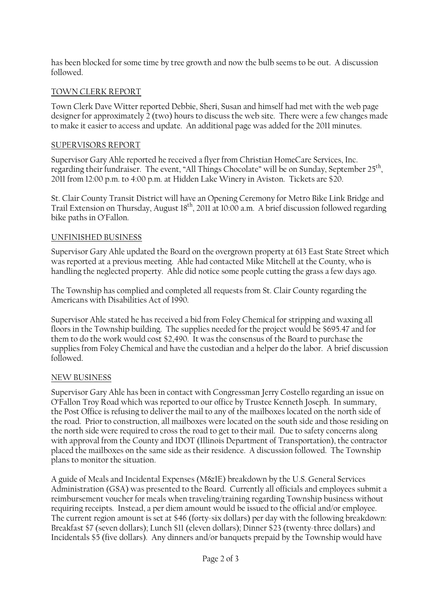has been blocked for some time by tree growth and now the bulb seems to be out. A discussion followed.

# TOWN CLERK REPORT

Town Clerk Dave Witter reported Debbie, Sheri, Susan and himself had met with the web page designer for approximately  $\frac{1}{2}$  (two) hours to discuss the web site. There were a few changes made to make it easier to access and update. An additional page was added for the 2011 minutes.

### SUPERVISORS REPORT

Supervisor Gary Ahle reported he received a flyer from Christian HomeCare Services, Inc. regarding their fundraiser. The event, "All Things Chocolate" will be on Sunday, September 25<sup>th</sup>, 2011 from 12:00 p.m. to 4:00 p.m. at Hidden Lake Winery in Aviston. Tickets are \$20.

St. Clair County Transit District will have an Opening Ceremony for Metro Bike Link Bridge and Trail Extension on Thursday, August 18<sup>th</sup>, 2011 at 10:00 a.m. A brief discussion followed regarding bike paths in O'Fallon.

## UNFINISHED BUSINESS

Supervisor Gary Ahle updated the Board on the overgrown property at 613 East State Street which was reported at a previous meeting. Ahle had contacted Mike Mitchell at the County, who is handling the neglected property. Ahle did notice some people cutting the grass a few days ago.

The Township has complied and completed all requests from St. Clair County regarding the Americans with Disabilities Act of 1990.

Supervisor Ahle stated he has received a bid from Foley Chemical for stripping and waxing all floors in the Township building. The supplies needed for the project would be \$695.47 and for them to do the work would cost \$2,490. It was the consensus of the Board to purchase the supplies from Foley Chemical and have the custodian and a helper do the labor. A brief discussion followed.

### NEW BUSINESS

Supervisor Gary Ahle has been in contact with Congressman Jerry Costello regarding an issue on O'Fallon Troy Road which was reported to our office by Trustee Kenneth Joseph. In summary, the Post Office is refusing to deliver the mail to any of the mailboxes located on the north side of the road. Prior to construction, all mailboxes were located on the south side and those residing on the north side were required to cross the road to get to their mail. Due to safety concerns along with approval from the County and IDOT (Illinois Department of Transportation), the contractor placed the mailboxes on the same side as their residence. A discussion followed. The Township plans to monitor the situation.

A guide of Meals and Incidental Expenses (M&IE) breakdown by the U.S. General Services Administration (GSA) was presented to the Board. Currently all officials and employees submit a reimbursement voucher for meals when traveling/training regarding Township business without requiring receipts. Instead, a per diem amount would be issued to the official and/or employee. The current region amount is set at \$46 (forty-six dollars) per day with the following breakdown: Breakfast \$7 (seven dollars); Lunch \$11 (eleven dollars); Dinner \$23 (twenty-three dollars) and Incidentals \$5 (five dollars). Any dinners and/or banquets prepaid by the Township would have